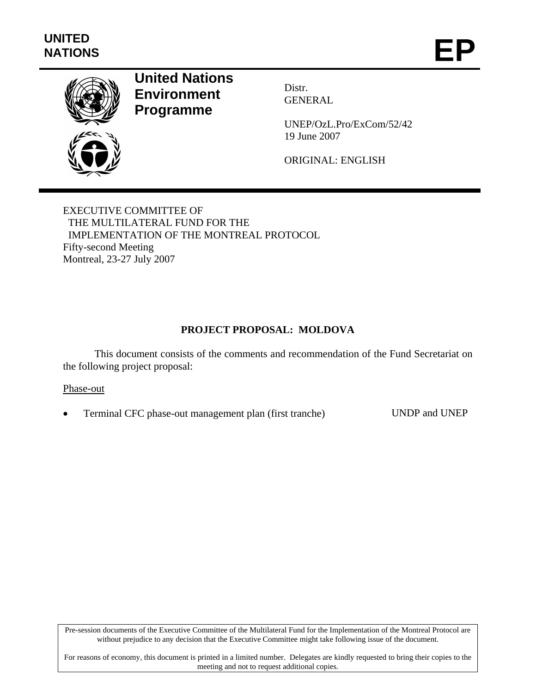

# **United Nations Environment Programme**

Distr. GENERAL

UNEP/OzL.Pro/ExCom/52/42 19 June 2007

ORIGINAL: ENGLISH

EXECUTIVE COMMITTEE OF THE MULTILATERAL FUND FOR THE IMPLEMENTATION OF THE MONTREAL PROTOCOL Fifty-second Meeting Montreal, 23-27 July 2007

# **PROJECT PROPOSAL: MOLDOVA**

This document consists of the comments and recommendation of the Fund Secretariat on the following project proposal:

#### Phase-out

• Terminal CFC phase-out management plan (first tranche) UNDP and UNEP

Pre-session documents of the Executive Committee of the Multilateral Fund for the Implementation of the Montreal Protocol are without prejudice to any decision that the Executive Committee might take following issue of the document.

For reasons of economy, this document is printed in a limited number. Delegates are kindly requested to bring their copies to the meeting and not to request additional copies.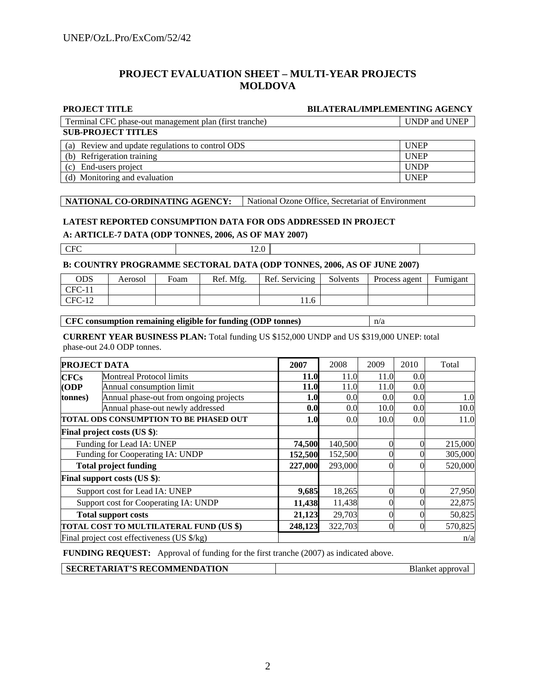#### **PROJECT EVALUATION SHEET – MULTI-YEAR PROJECTS MOLDOVA**

#### **PROJECT TITLE BILATERAL/IMPLEMENTING AGENCY**

**SUB-PROJECT TITLES** Terminal CFC phase-out management plan (first tranche) UNDP and UNEP

| (a) Review and update regulations to control ODS | <b>UNEP</b> |
|--------------------------------------------------|-------------|
| (b) Refrigeration training                       | <b>UNEP</b> |
| (c) End-users project                            | <b>UNDP</b> |
| (d) Monitoring and evaluation                    | <b>UNEP</b> |

#### **NATIONAL CO-ORDINATING AGENCY:** National Ozone Office, Secretariat of Environment

#### **LATEST REPORTED CONSUMPTION DATA FOR ODS ADDRESSED IN PROJECT**

**A: ARTICLE-7 DATA (ODP TONNES, 2006, AS OF MAY 2007)** 

CFC 12.0

#### **B: COUNTRY PROGRAMME SECTORAL DATA (ODP TONNES, 2006, AS OF JUNE 2007)**

| ODS      | Aerosol | Foam | Ref. Mfg. | Ref. Servicing | Solvents | Process agent | Fumigant |
|----------|---------|------|-----------|----------------|----------|---------------|----------|
| $CFC-11$ |         |      |           |                |          |               |          |
| $CFC-12$ |         |      |           | 11.0           |          |               |          |

#### **CFC consumption remaining eligible for funding (ODP tonnes)**  $n/a$

#### **CURRENT YEAR BUSINESS PLAN:** Total funding US \$152,000 UNDP and US \$319,000 UNEP: total phase-out 24.0 ODP tonnes.

|                                       | <b>PROJECT DATA</b>                         |             | 2008    | 2009 | 2010 | Total   |
|---------------------------------------|---------------------------------------------|-------------|---------|------|------|---------|
| <b>CFCs</b>                           | <b>Montreal Protocol limits</b>             | <b>11.0</b> | 11.0    | 11.0 | 0.0  |         |
| (ODP                                  | Annual consumption limit                    | <b>11.0</b> | 11.0    | 11.0 | 0.0  |         |
| tonnes)                               | Annual phase-out from ongoing projects      | 1.0         | 0.0     | 0.0  | 0.0  | 1.0     |
|                                       | Annual phase-out newly addressed            | 0.0         | 0.0     | 10.0 | 0.0  | 10.0    |
|                                       | TOTAL ODS CONSUMPTION TO BE PHASED OUT      | 1.0         | 0.0     | 10.0 | 0.0  | 11.0    |
| <b>Final project costs (US \$):</b>   |                                             |             |         |      |      |         |
| Funding for Lead IA: UNEP             |                                             | 74,500      | 140,500 |      |      | 215,000 |
| Funding for Cooperating IA: UNDP      |                                             | 152,500     | 152,500 |      |      | 305,000 |
|                                       | <b>Total project funding</b>                | 227,000     | 293,000 |      |      | 520,000 |
|                                       | <b>Final support costs (US \$):</b>         |             |         |      |      |         |
|                                       | Support cost for Lead IA: UNEP              | 9,685       | 18,265  | 0    | 0    | 27,950  |
| Support cost for Cooperating IA: UNDP |                                             | 11,438      | 11,438  |      |      | 22,875  |
| <b>Total support costs</b>            |                                             | 21,123      | 29,703  |      |      | 50,825  |
|                                       | TOTAL COST TO MULTILATERAL FUND (US \$)     | 248,123     | 322,703 | 0    |      | 570,825 |
|                                       | Final project cost effectiveness (US \$/kg) |             |         |      |      | n/a     |

**FUNDING REQUEST:** Approval of funding for the first tranche (2007) as indicated above.

| <b>SECRETARIAT'S RECOMMENDATION</b> | Blanket approval |
|-------------------------------------|------------------|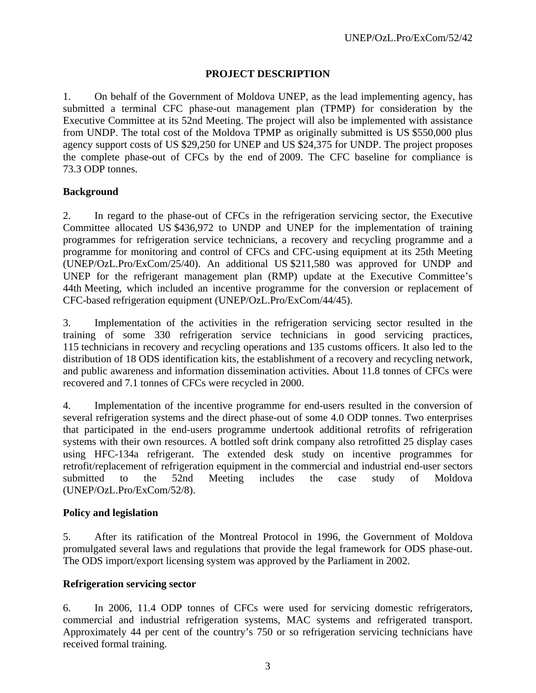# **PROJECT DESCRIPTION**

1. On behalf of the Government of Moldova UNEP, as the lead implementing agency, has submitted a terminal CFC phase-out management plan (TPMP) for consideration by the Executive Committee at its 52nd Meeting. The project will also be implemented with assistance from UNDP. The total cost of the Moldova TPMP as originally submitted is US \$550,000 plus agency support costs of US \$29,250 for UNEP and US \$24,375 for UNDP. The project proposes the complete phase-out of CFCs by the end of 2009. The CFC baseline for compliance is 73.3 ODP tonnes.

# **Background**

2. In regard to the phase-out of CFCs in the refrigeration servicing sector, the Executive Committee allocated US \$436,972 to UNDP and UNEP for the implementation of training programmes for refrigeration service technicians, a recovery and recycling programme and a programme for monitoring and control of CFCs and CFC-using equipment at its 25th Meeting (UNEP/OzL.Pro/ExCom/25/40). An additional US \$211,580 was approved for UNDP and UNEP for the refrigerant management plan (RMP) update at the Executive Committee's 44th Meeting, which included an incentive programme for the conversion or replacement of CFC-based refrigeration equipment (UNEP/OzL.Pro/ExCom/44/45).

3. Implementation of the activities in the refrigeration servicing sector resulted in the training of some 330 refrigeration service technicians in good servicing practices, 115 technicians in recovery and recycling operations and 135 customs officers. It also led to the distribution of 18 ODS identification kits, the establishment of a recovery and recycling network, and public awareness and information dissemination activities. About 11.8 tonnes of CFCs were recovered and 7.1 tonnes of CFCs were recycled in 2000.

4. Implementation of the incentive programme for end-users resulted in the conversion of several refrigeration systems and the direct phase-out of some 4.0 ODP tonnes. Two enterprises that participated in the end-users programme undertook additional retrofits of refrigeration systems with their own resources. A bottled soft drink company also retrofitted 25 display cases using HFC-134a refrigerant. The extended desk study on incentive programmes for retrofit/replacement of refrigeration equipment in the commercial and industrial end-user sectors submitted to the 52nd Meeting includes the case study of Moldova (UNEP/OzL.Pro/ExCom/52/8).

# **Policy and legislation**

5. After its ratification of the Montreal Protocol in 1996, the Government of Moldova promulgated several laws and regulations that provide the legal framework for ODS phase-out. The ODS import/export licensing system was approved by the Parliament in 2002.

# **Refrigeration servicing sector**

6. In 2006, 11.4 ODP tonnes of CFCs were used for servicing domestic refrigerators, commercial and industrial refrigeration systems, MAC systems and refrigerated transport. Approximately 44 per cent of the country's 750 or so refrigeration servicing technicians have received formal training.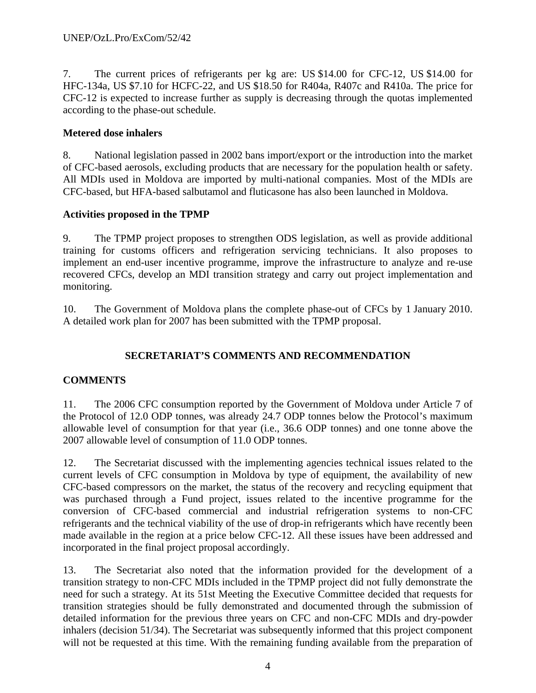7. The current prices of refrigerants per kg are: US \$14.00 for CFC-12, US \$14.00 for HFC-134a, US \$7.10 for HCFC-22, and US \$18.50 for R404a, R407c and R410a. The price for CFC-12 is expected to increase further as supply is decreasing through the quotas implemented according to the phase-out schedule.

# **Metered dose inhalers**

8. National legislation passed in 2002 bans import/export or the introduction into the market of CFC-based aerosols, excluding products that are necessary for the population health or safety. All MDIs used in Moldova are imported by multi-national companies. Most of the MDIs are CFC-based, but HFA-based salbutamol and fluticasone has also been launched in Moldova.

# **Activities proposed in the TPMP**

9. The TPMP project proposes to strengthen ODS legislation, as well as provide additional training for customs officers and refrigeration servicing technicians. It also proposes to implement an end-user incentive programme, improve the infrastructure to analyze and re-use recovered CFCs, develop an MDI transition strategy and carry out project implementation and monitoring.

10. The Government of Moldova plans the complete phase-out of CFCs by 1 January 2010. A detailed work plan for 2007 has been submitted with the TPMP proposal.

# **SECRETARIAT'S COMMENTS AND RECOMMENDATION**

# **COMMENTS**

11. The 2006 CFC consumption reported by the Government of Moldova under Article 7 of the Protocol of 12.0 ODP tonnes, was already 24.7 ODP tonnes below the Protocol's maximum allowable level of consumption for that year (i.e., 36.6 ODP tonnes) and one tonne above the 2007 allowable level of consumption of 11.0 ODP tonnes.

12. The Secretariat discussed with the implementing agencies technical issues related to the current levels of CFC consumption in Moldova by type of equipment, the availability of new CFC-based compressors on the market, the status of the recovery and recycling equipment that was purchased through a Fund project, issues related to the incentive programme for the conversion of CFC-based commercial and industrial refrigeration systems to non-CFC refrigerants and the technical viability of the use of drop-in refrigerants which have recently been made available in the region at a price below CFC-12. All these issues have been addressed and incorporated in the final project proposal accordingly.

13. The Secretariat also noted that the information provided for the development of a transition strategy to non-CFC MDIs included in the TPMP project did not fully demonstrate the need for such a strategy. At its 51st Meeting the Executive Committee decided that requests for transition strategies should be fully demonstrated and documented through the submission of detailed information for the previous three years on CFC and non-CFC MDIs and dry-powder inhalers (decision 51/34). The Secretariat was subsequently informed that this project component will not be requested at this time. With the remaining funding available from the preparation of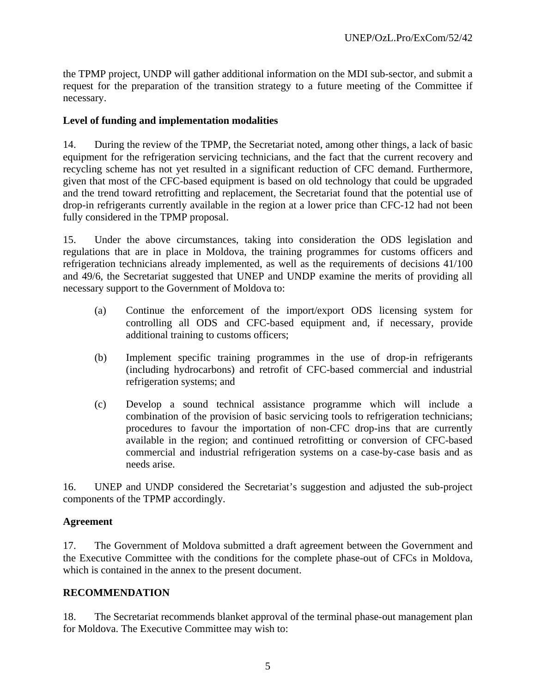the TPMP project, UNDP will gather additional information on the MDI sub-sector, and submit a request for the preparation of the transition strategy to a future meeting of the Committee if necessary.

#### **Level of funding and implementation modalities**

14. During the review of the TPMP, the Secretariat noted, among other things, a lack of basic equipment for the refrigeration servicing technicians, and the fact that the current recovery and recycling scheme has not yet resulted in a significant reduction of CFC demand. Furthermore, given that most of the CFC-based equipment is based on old technology that could be upgraded and the trend toward retrofitting and replacement, the Secretariat found that the potential use of drop-in refrigerants currently available in the region at a lower price than CFC-12 had not been fully considered in the TPMP proposal.

15. Under the above circumstances, taking into consideration the ODS legislation and regulations that are in place in Moldova, the training programmes for customs officers and refrigeration technicians already implemented, as well as the requirements of decisions 41/100 and 49/6, the Secretariat suggested that UNEP and UNDP examine the merits of providing all necessary support to the Government of Moldova to:

- (a) Continue the enforcement of the import/export ODS licensing system for controlling all ODS and CFC-based equipment and, if necessary, provide additional training to customs officers;
- (b) Implement specific training programmes in the use of drop-in refrigerants (including hydrocarbons) and retrofit of CFC-based commercial and industrial refrigeration systems; and
- (c) Develop a sound technical assistance programme which will include a combination of the provision of basic servicing tools to refrigeration technicians; procedures to favour the importation of non-CFC drop-ins that are currently available in the region; and continued retrofitting or conversion of CFC-based commercial and industrial refrigeration systems on a case-by-case basis and as needs arise.

16. UNEP and UNDP considered the Secretariat's suggestion and adjusted the sub-project components of the TPMP accordingly.

# **Agreement**

17. The Government of Moldova submitted a draft agreement between the Government and the Executive Committee with the conditions for the complete phase-out of CFCs in Moldova, which is contained in the annex to the present document.

#### **RECOMMENDATION**

18. The Secretariat recommends blanket approval of the terminal phase-out management plan for Moldova. The Executive Committee may wish to: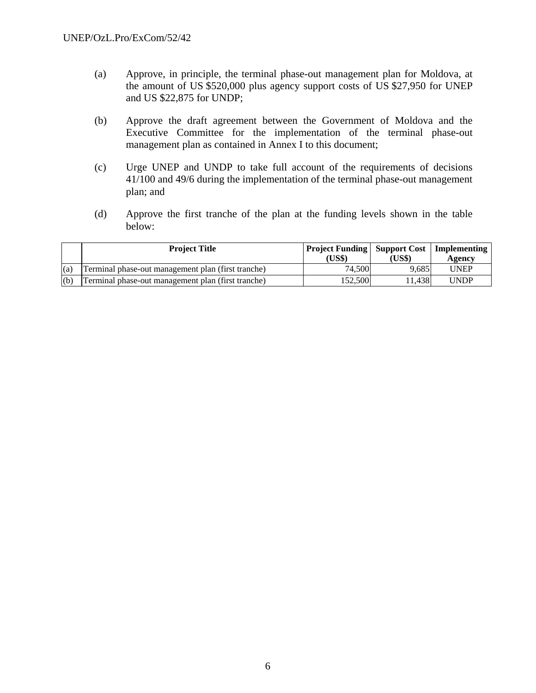- (a) Approve, in principle, the terminal phase-out management plan for Moldova, at the amount of US \$520,000 plus agency support costs of US \$27,950 for UNEP and US \$22,875 for UNDP;
- (b) Approve the draft agreement between the Government of Moldova and the Executive Committee for the implementation of the terminal phase-out management plan as contained in Annex I to this document;
- (c) Urge UNEP and UNDP to take full account of the requirements of decisions 41/100 and 49/6 during the implementation of the terminal phase-out management plan; and
- (d) Approve the first tranche of the plan at the funding levels shown in the table below:

|     | <b>Project Title</b>                               | <b>Project Funding   Support Cost   Implementing</b><br>(US\$) | (US\$) | Agency      |
|-----|----------------------------------------------------|----------------------------------------------------------------|--------|-------------|
| (a) | Terminal phase-out management plan (first tranche) | 74.500                                                         | 9.685  | <b>UNEP</b> |
| (b) | Terminal phase-out management plan (first tranche) | 152,500                                                        | 1.438  | UNDP        |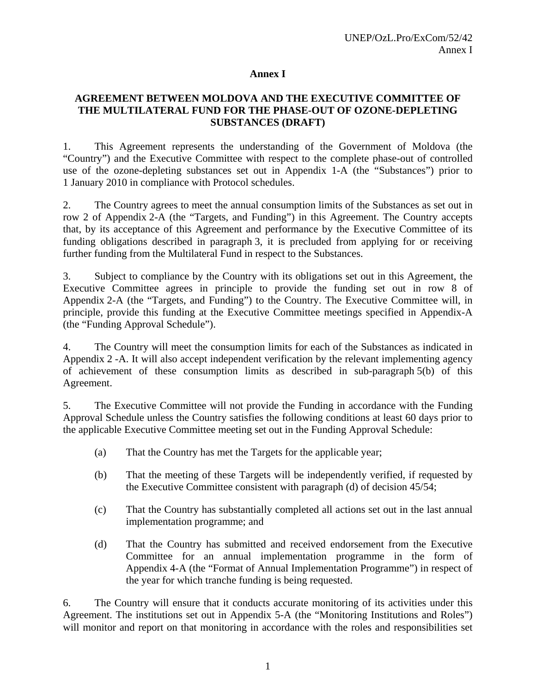#### **Annex I**

#### **AGREEMENT BETWEEN MOLDOVA AND THE EXECUTIVE COMMITTEE OF THE MULTILATERAL FUND FOR THE PHASE-OUT OF OZONE-DEPLETING SUBSTANCES (DRAFT)**

1. This Agreement represents the understanding of the Government of Moldova (the "Country") and the Executive Committee with respect to the complete phase-out of controlled use of the ozone-depleting substances set out in Appendix 1-A (the "Substances") prior to 1 January 2010 in compliance with Protocol schedules.

2. The Country agrees to meet the annual consumption limits of the Substances as set out in row 2 of Appendix 2-A (the "Targets, and Funding") in this Agreement. The Country accepts that, by its acceptance of this Agreement and performance by the Executive Committee of its funding obligations described in paragraph 3, it is precluded from applying for or receiving further funding from the Multilateral Fund in respect to the Substances.

3. Subject to compliance by the Country with its obligations set out in this Agreement, the Executive Committee agrees in principle to provide the funding set out in row 8 of Appendix 2-A (the "Targets, and Funding") to the Country. The Executive Committee will, in principle, provide this funding at the Executive Committee meetings specified in Appendix-A (the "Funding Approval Schedule").

4. The Country will meet the consumption limits for each of the Substances as indicated in Appendix 2 -A. It will also accept independent verification by the relevant implementing agency of achievement of these consumption limits as described in sub-paragraph 5(b) of this Agreement.

5. The Executive Committee will not provide the Funding in accordance with the Funding Approval Schedule unless the Country satisfies the following conditions at least 60 days prior to the applicable Executive Committee meeting set out in the Funding Approval Schedule:

- (a) That the Country has met the Targets for the applicable year;
- (b) That the meeting of these Targets will be independently verified, if requested by the Executive Committee consistent with paragraph (d) of decision 45/54;
- (c) That the Country has substantially completed all actions set out in the last annual implementation programme; and
- (d) That the Country has submitted and received endorsement from the Executive Committee for an annual implementation programme in the form of Appendix 4-A (the "Format of Annual Implementation Programme") in respect of the year for which tranche funding is being requested.

6. The Country will ensure that it conducts accurate monitoring of its activities under this Agreement. The institutions set out in Appendix 5-A (the "Monitoring Institutions and Roles") will monitor and report on that monitoring in accordance with the roles and responsibilities set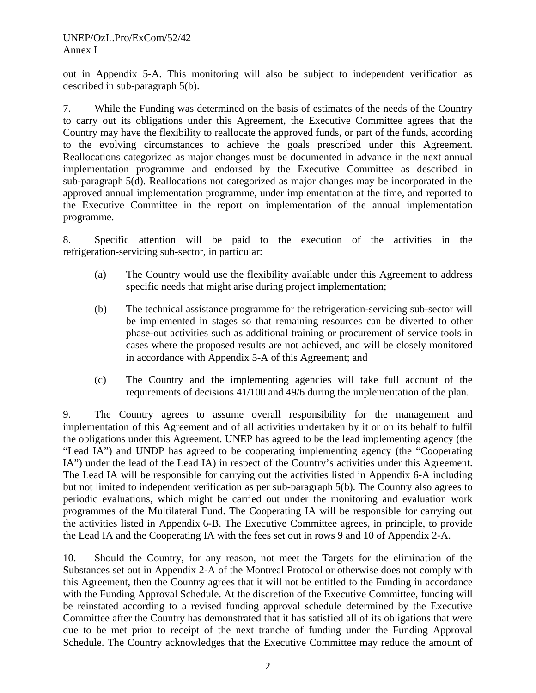out in Appendix 5-A. This monitoring will also be subject to independent verification as described in sub-paragraph 5(b).

7. While the Funding was determined on the basis of estimates of the needs of the Country to carry out its obligations under this Agreement, the Executive Committee agrees that the Country may have the flexibility to reallocate the approved funds, or part of the funds, according to the evolving circumstances to achieve the goals prescribed under this Agreement. Reallocations categorized as major changes must be documented in advance in the next annual implementation programme and endorsed by the Executive Committee as described in sub-paragraph 5(d). Reallocations not categorized as major changes may be incorporated in the approved annual implementation programme, under implementation at the time, and reported to the Executive Committee in the report on implementation of the annual implementation programme.

8. Specific attention will be paid to the execution of the activities in the refrigeration-servicing sub-sector, in particular:

- (a) The Country would use the flexibility available under this Agreement to address specific needs that might arise during project implementation;
- (b) The technical assistance programme for the refrigeration-servicing sub-sector will be implemented in stages so that remaining resources can be diverted to other phase-out activities such as additional training or procurement of service tools in cases where the proposed results are not achieved, and will be closely monitored in accordance with Appendix 5-A of this Agreement; and
- (c) The Country and the implementing agencies will take full account of the requirements of decisions 41/100 and 49/6 during the implementation of the plan.

9. The Country agrees to assume overall responsibility for the management and implementation of this Agreement and of all activities undertaken by it or on its behalf to fulfil the obligations under this Agreement. UNEP has agreed to be the lead implementing agency (the "Lead IA") and UNDP has agreed to be cooperating implementing agency (the "Cooperating IA") under the lead of the Lead IA) in respect of the Country's activities under this Agreement. The Lead IA will be responsible for carrying out the activities listed in Appendix 6-A including but not limited to independent verification as per sub-paragraph 5(b). The Country also agrees to periodic evaluations, which might be carried out under the monitoring and evaluation work programmes of the Multilateral Fund. The Cooperating IA will be responsible for carrying out the activities listed in Appendix 6-B. The Executive Committee agrees, in principle, to provide the Lead IA and the Cooperating IA with the fees set out in rows 9 and 10 of Appendix 2-A.

10. Should the Country, for any reason, not meet the Targets for the elimination of the Substances set out in Appendix 2-A of the Montreal Protocol or otherwise does not comply with this Agreement, then the Country agrees that it will not be entitled to the Funding in accordance with the Funding Approval Schedule. At the discretion of the Executive Committee, funding will be reinstated according to a revised funding approval schedule determined by the Executive Committee after the Country has demonstrated that it has satisfied all of its obligations that were due to be met prior to receipt of the next tranche of funding under the Funding Approval Schedule. The Country acknowledges that the Executive Committee may reduce the amount of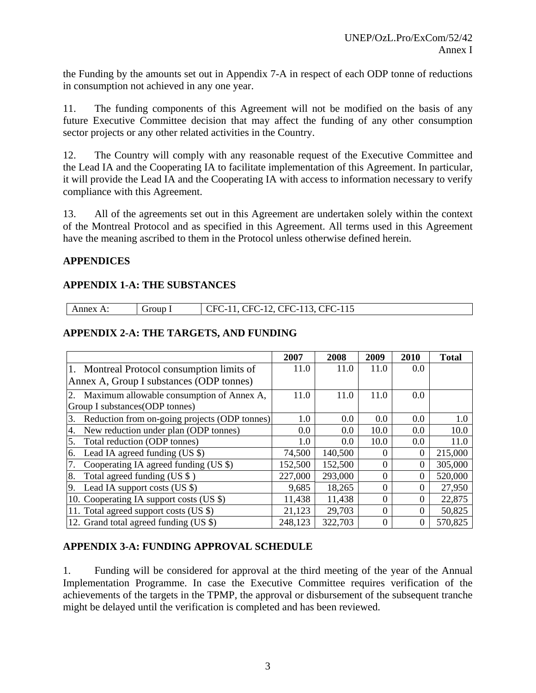the Funding by the amounts set out in Appendix 7-A in respect of each ODP tonne of reductions in consumption not achieved in any one year.

11. The funding components of this Agreement will not be modified on the basis of any future Executive Committee decision that may affect the funding of any other consumption sector projects or any other related activities in the Country.

12. The Country will comply with any reasonable request of the Executive Committee and the Lead IA and the Cooperating IA to facilitate implementation of this Agreement. In particular, it will provide the Lead IA and the Cooperating IA with access to information necessary to verify compliance with this Agreement.

13. All of the agreements set out in this Agreement are undertaken solely within the context of the Montreal Protocol and as specified in this Agreement. All terms used in this Agreement have the meaning ascribed to them in the Protocol unless otherwise defined herein.

# **APPENDICES**

# **APPENDIX 1-A: THE SUBSTANCES**

| <b>\nnex</b> | roup<br>$\sim$<br>$\sim$ | 11 <sup>2</sup><br>-<br>-<br>'H'<br>ъı<br>$\overline{\phantom{0}}$<br>$\overline{\phantom{0}}$<br>1 I J<br>--<br>$-$<br>$\sim$<br>$-$<br>$-$ |
|--------------|--------------------------|----------------------------------------------------------------------------------------------------------------------------------------------|
|--------------|--------------------------|----------------------------------------------------------------------------------------------------------------------------------------------|

# **APPENDIX 2-A: THE TARGETS, AND FUNDING**

|                                                     | 2007    | 2008    | 2009     | 2010     | <b>Total</b> |
|-----------------------------------------------------|---------|---------|----------|----------|--------------|
| 1. Montreal Protocol consumption limits of          | 11.0    | 11.0    | 11.0     | 0.0      |              |
| Annex A, Group I substances (ODP tonnes)            |         |         |          |          |              |
| Maximum allowable consumption of Annex A,<br>2.     | 11.0    | 11.0    | 11.0     | 0.0      |              |
| Group I substances (ODP tonnes)                     |         |         |          |          |              |
| Reduction from on-going projects (ODP tonnes)<br>3. | $1.0\,$ | $0.0\,$ | 0.0      | 0.0      | 1.0          |
| New reduction under plan (ODP tonnes)<br>4.         | 0.0     | 0.0     | 10.0     | 0.0      | 10.0         |
| Total reduction (ODP tonnes)<br>5.                  | 1.0     | 0.0     | 10.0     | 0.0      | 11.0         |
| Lead IA agreed funding $(US \$ )<br>6.              | 74,500  | 140,500 |          | 0        | 215,000      |
| Cooperating IA agreed funding (US \$)               | 152,500 | 152,500 | 0        | 0        | 305,000      |
| Total agreed funding (US \$)<br>8.                  | 227,000 | 293,000 | 0        | $\Omega$ | 520,000      |
| Lead IA support costs $(US \$ )<br>9.               | 9,685   | 18,265  | $\Omega$ | 0        | 27,950       |
| 10. Cooperating IA support costs (US \$)            | 11,438  | 11,438  | $\theta$ | $\Omega$ | 22,875       |
| 11. Total agreed support costs (US \$)              | 21,123  | 29,703  | $\Omega$ | $\Omega$ | 50,825       |
| 12. Grand total agreed funding (US \$)              | 248,123 | 322,703 | $\Omega$ | 0        | 570,825      |

# **APPENDIX 3-A: FUNDING APPROVAL SCHEDULE**

1. Funding will be considered for approval at the third meeting of the year of the Annual Implementation Programme. In case the Executive Committee requires verification of the achievements of the targets in the TPMP, the approval or disbursement of the subsequent tranche might be delayed until the verification is completed and has been reviewed.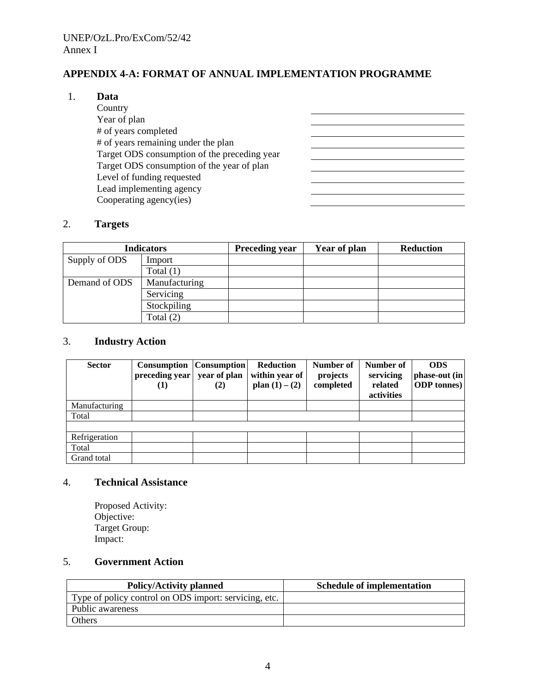# **APPENDIX 4-A: FORMAT OF ANNUAL IMPLEMENTATION PROGRAMME**

<u> 1989 - Johann Barn, fransk politik amerikansk politik (</u> <u> 1989 - Johann Barbara, martin a</u>

<u> 1990 - Johann Barbara, martin a</u> <u> 1980 - Johann Barbara, martin amerikan basar dan basar dan basar dalam basar dalam basar dalam basar dalam ba</u> 

#### 1. **Data**

 Country Year of plan # of years completed # of years remaining under the plan Target ODS consumption of the preceding year Target ODS consumption of the year of plan Level of funding requested Lead implementing agency Cooperating agency(ies)

#### 2. **Targets**

| <b>Indicators</b> |               | <b>Preceding year</b> | Year of plan | <b>Reduction</b> |
|-------------------|---------------|-----------------------|--------------|------------------|
| Supply of ODS     | Import        |                       |              |                  |
|                   | Total $(1)$   |                       |              |                  |
| Demand of ODS     | Manufacturing |                       |              |                  |
|                   | Servicing     |                       |              |                  |
|                   | Stockpiling   |                       |              |                  |
|                   | Total $(2)$   |                       |              |                  |

#### 3. **Industry Action**

| <b>Sector</b> | Consumption<br>preceding year<br>(1) | <b>Consumption</b><br>year of plan<br>(2) | <b>Reduction</b><br>within year of<br>plan $(1) - (2)$ | Number of<br>projects<br>completed | Number of<br>servicing<br>related<br>activities | <b>ODS</b><br>phase-out (in<br><b>ODP</b> tonnes) |
|---------------|--------------------------------------|-------------------------------------------|--------------------------------------------------------|------------------------------------|-------------------------------------------------|---------------------------------------------------|
| Manufacturing |                                      |                                           |                                                        |                                    |                                                 |                                                   |
| Total         |                                      |                                           |                                                        |                                    |                                                 |                                                   |
|               |                                      |                                           |                                                        |                                    |                                                 |                                                   |
| Refrigeration |                                      |                                           |                                                        |                                    |                                                 |                                                   |
| Total         |                                      |                                           |                                                        |                                    |                                                 |                                                   |
| Grand total   |                                      |                                           |                                                        |                                    |                                                 |                                                   |

# 4. **Technical Assistance**

Proposed Activity: Objective: Target Group: Impact:

#### 5. **Government Action**

| <b>Policy/Activity planned</b>                        | <b>Schedule of implementation</b> |
|-------------------------------------------------------|-----------------------------------|
| Type of policy control on ODS import: servicing, etc. |                                   |
| Public awareness                                      |                                   |
| <b>Others</b>                                         |                                   |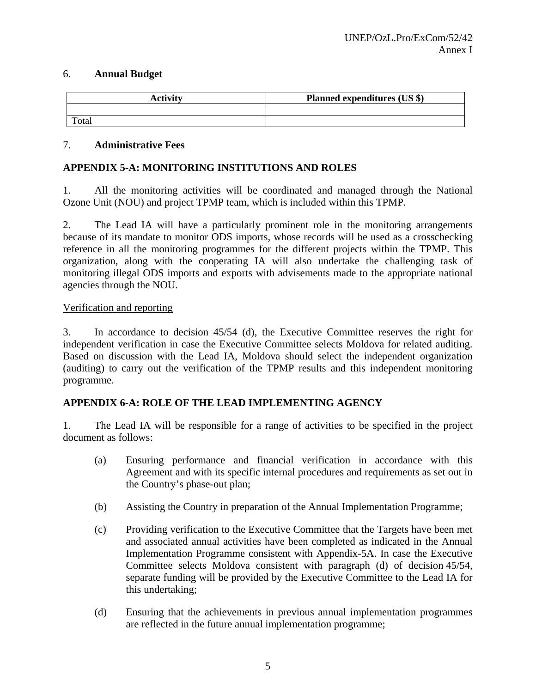#### 6. **Annual Budget**

| <b>Activity</b> | Planned expenditures (US \$) |
|-----------------|------------------------------|
|                 |                              |
| Total           |                              |

#### 7. **Administrative Fees**

# **APPENDIX 5-A: MONITORING INSTITUTIONS AND ROLES**

1. All the monitoring activities will be coordinated and managed through the National Ozone Unit (NOU) and project TPMP team, which is included within this TPMP.

2. The Lead IA will have a particularly prominent role in the monitoring arrangements because of its mandate to monitor ODS imports, whose records will be used as a crosschecking reference in all the monitoring programmes for the different projects within the TPMP. This organization, along with the cooperating IA will also undertake the challenging task of monitoring illegal ODS imports and exports with advisements made to the appropriate national agencies through the NOU.

#### Verification and reporting

3. In accordance to decision 45/54 (d), the Executive Committee reserves the right for independent verification in case the Executive Committee selects Moldova for related auditing. Based on discussion with the Lead IA, Moldova should select the independent organization (auditing) to carry out the verification of the TPMP results and this independent monitoring programme.

# **APPENDIX 6-A: ROLE OF THE LEAD IMPLEMENTING AGENCY**

1. The Lead IA will be responsible for a range of activities to be specified in the project document as follows:

- (a) Ensuring performance and financial verification in accordance with this Agreement and with its specific internal procedures and requirements as set out in the Country's phase-out plan;
- (b) Assisting the Country in preparation of the Annual Implementation Programme;
- (c) Providing verification to the Executive Committee that the Targets have been met and associated annual activities have been completed as indicated in the Annual Implementation Programme consistent with Appendix-5A. In case the Executive Committee selects Moldova consistent with paragraph (d) of decision 45/54, separate funding will be provided by the Executive Committee to the Lead IA for this undertaking;
- (d) Ensuring that the achievements in previous annual implementation programmes are reflected in the future annual implementation programme;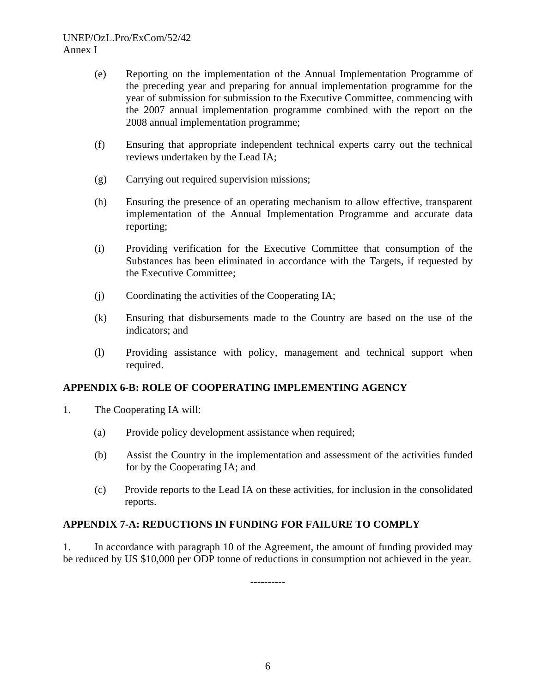- (e) Reporting on the implementation of the Annual Implementation Programme of the preceding year and preparing for annual implementation programme for the year of submission for submission to the Executive Committee, commencing with the 2007 annual implementation programme combined with the report on the 2008 annual implementation programme;
- (f) Ensuring that appropriate independent technical experts carry out the technical reviews undertaken by the Lead IA;
- (g) Carrying out required supervision missions;
- (h) Ensuring the presence of an operating mechanism to allow effective, transparent implementation of the Annual Implementation Programme and accurate data reporting;
- (i) Providing verification for the Executive Committee that consumption of the Substances has been eliminated in accordance with the Targets, if requested by the Executive Committee;
- (j) Coordinating the activities of the Cooperating IA;
- (k) Ensuring that disbursements made to the Country are based on the use of the indicators; and
- (l) Providing assistance with policy, management and technical support when required.

# **APPENDIX 6-B: ROLE OF COOPERATING IMPLEMENTING AGENCY**

- 1. The Cooperating IA will:
	- (a) Provide policy development assistance when required;
	- (b) Assist the Country in the implementation and assessment of the activities funded for by the Cooperating IA; and
	- (c) Provide reports to the Lead IA on these activities, for inclusion in the consolidated reports.

# **APPENDIX 7-A: REDUCTIONS IN FUNDING FOR FAILURE TO COMPLY**

1. In accordance with paragraph 10 of the Agreement, the amount of funding provided may be reduced by US \$10,000 per ODP tonne of reductions in consumption not achieved in the year.

----------

6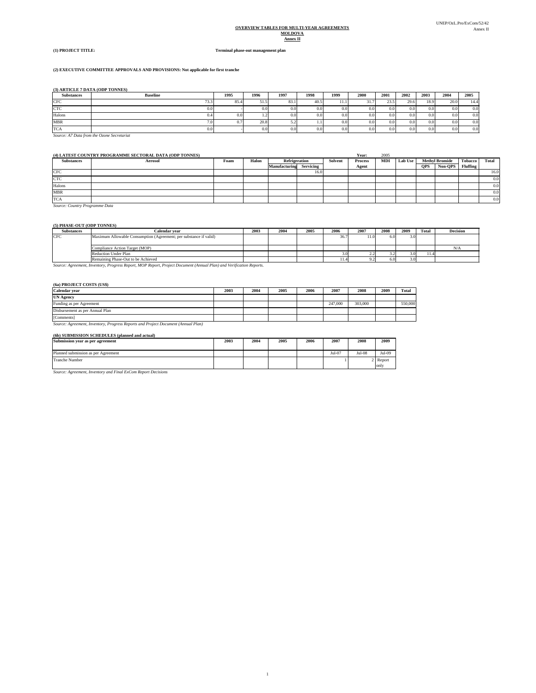#### **OVERVIEW TABLES FOR MULTI-YEAR AGREEMENTS MOLDOVA Annex II**

#### **(1) PROJECT TITLE: Terminal phase-out management plan**

#### **(2) EXECUTIVE COMMITTEE APPROVALS AND PROVISIONS: Not applicable for first tranche**

**(3) ARTICLE 7 DATA (ODP TONNES)**

| <b>Substances</b> | <b>Baseline</b>  | 1995 | 1996        | 1997 | 1998 | 1999 | 2000          | 2001             | 2002 | 2003             | 2004 | 2005 |
|-------------------|------------------|------|-------------|------|------|------|---------------|------------------|------|------------------|------|------|
| <b>CFC</b>        | 73.4<br>,,,,,    | 85.4 | 515<br>JI.J | 85.  | 40.5 | 11.1 | .             | 23.5             | 29.6 | 18.9             | 20.0 | 14.4 |
| <b>CTC</b>        | $0.0\,$          |      | 0.0         | 0.0  | 0.0  | 0.0  | 0.0           | 0.0 <sub>1</sub> | 0.0  | 0.0              | 0.0  | 0.0  |
| Halons            | 0.4              | 0.0  | 1.4         | 0.0  | 0.0  | 0.0  | $0.0^{\circ}$ | 0.01             | 0.0  | 0.0              | 0.0  | 0.0  |
| MBR               |                  | v.   | 20.8        | ے د  |      | 0.0  | 0.0           | 0.0              | 0.0  | 0.0 <sub>1</sub> | 0.0  | 0.0  |
| <b>TCA</b>        | 0.0 <sub>1</sub> |      | 0.0         | 0.0  | 0.0  | 0.0  | 0.0           | 0.0 <sub>1</sub> | 0.0  | 0.0              | 0.0  | 0.0  |

*Source: A7 Data from the Ozone Secretariat*

#### **(4) LATEST COUNTRY PROGRAMME SECTORAL DATA (ODP TONNES) Year:** 2005

| <b>Substances</b> | Aerosol | Foam | Halon | Refrigeration |           | Solvent | Process | <b>MDI</b> | <b>Lab Use</b> |            | <b>Methyl Bromide</b> | Tobacco 1 | Total            |
|-------------------|---------|------|-------|---------------|-----------|---------|---------|------------|----------------|------------|-----------------------|-----------|------------------|
|                   |         |      |       | Manufacturing | Servicing |         | Agent   |            |                | <b>OPS</b> | Non-OPS               | Fluffing  |                  |
| CFC               |         |      |       |               | 16.0      |         |         |            |                |            |                       |           | 16.0             |
| CTC               |         |      |       |               |           |         |         |            |                |            |                       |           | 0.0 <sub>1</sub> |
| Halons            |         |      |       |               |           |         |         |            |                |            |                       |           | 0.0              |
| <b>MBR</b>        |         |      |       |               |           |         |         |            |                |            |                       |           | 0.0              |
| <b>TCA</b>        |         |      |       |               |           |         |         |            |                |            |                       |           | 0.0              |

*Source: Country Programme Data*

#### **(5) PHASE-OUT (ODP TONNES)**

| <b>Substances</b> | Calendar vear                                                     | 2003 | 2004 | 2005 | 2006 | 2007                     | 2008 | 2009 | Total | <b>Decision</b> |
|-------------------|-------------------------------------------------------------------|------|------|------|------|--------------------------|------|------|-------|-----------------|
| <b>CFC</b>        | Maximum Allowable Consumption (Agreement; per substance if valid) |      |      |      | 36.7 |                          | 6.01 |      |       |                 |
|                   | Compliance Action Target (MOP)                                    |      |      |      |      |                          |      |      |       |                 |
|                   | <b>Reduction Under Plan</b>                                       |      |      |      |      | .                        |      |      | 11.4  |                 |
|                   | Remaining Phase-Out to be Achieved                                |      |      |      | 11.4 | $\overline{\phantom{a}}$ | 6.0  | 3.0  |       |                 |

*Source: Agreement, Inventory, Progress Report, MOP Report, Project Document (Annual Plan) and Verification Reports.* Remaining Phase-Out to be Achieved

#### **(6a) PROJECT COSTS (US\$)**

| Calendar year                                                                     | 2003 | 2004 | 2005 | 2006 | 2007    | 2008    | 2009 | Total   |
|-----------------------------------------------------------------------------------|------|------|------|------|---------|---------|------|---------|
| <b>UN Agency</b>                                                                  |      |      |      |      |         |         |      |         |
| Funding as per Agreement                                                          |      |      |      |      | 247,000 | 303,000 |      | 550,000 |
| Disbursement as per Annual Plan                                                   |      |      |      |      |         |         |      |         |
| [Comments]                                                                        |      |      |      |      |         |         |      |         |
| Source: Agreement, Inventory, Progress Reports and Project Document (Annual Plan) |      |      |      |      |         |         |      |         |

#### **(6b) SUBMISSION SCHEDULES (planned and actual)**

| Submission year as per agreement    | 2003 | 2004 | 2005 | 2006 | 2007     | 2008   | 2009             |
|-------------------------------------|------|------|------|------|----------|--------|------------------|
| Planned submission as per Agreement |      |      |      |      | $Jul-07$ | Jul-08 | Jul-09           |
| <b>Tranche Number</b>               |      |      |      |      |          |        | 2 Report<br>only |

*Source: Agreement, Inventory and Final ExCom Report Decisions*